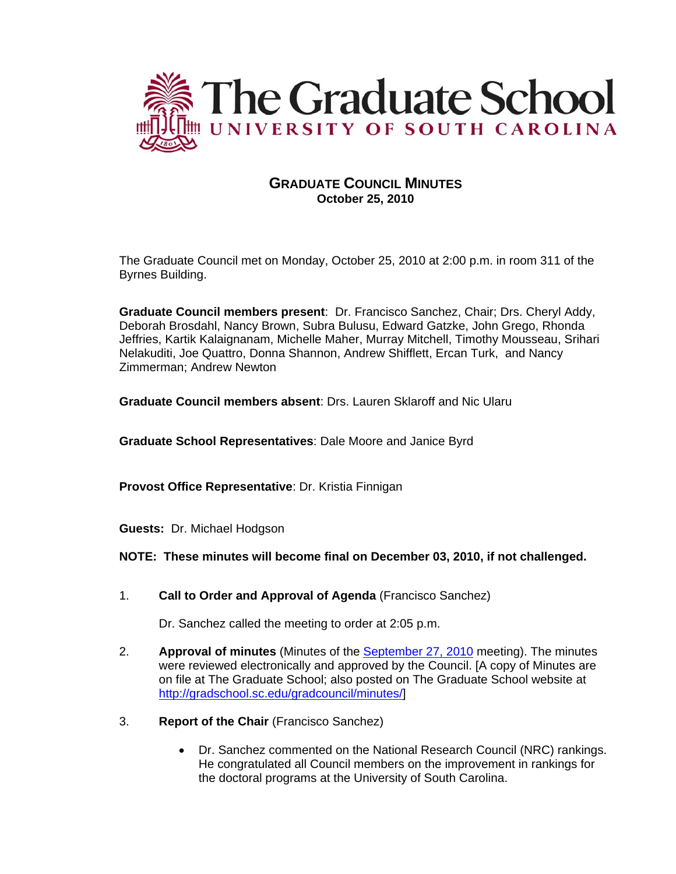

# **GRADUATE COUNCIL MINUTES October 25, 2010**

The Graduate Council met on Monday, October 25, 2010 at 2:00 p.m. in room 311 of the Byrnes Building.

**Graduate Council members present**: Dr. Francisco Sanchez, Chair; Drs. Cheryl Addy, Deborah Brosdahl, Nancy Brown, Subra Bulusu, Edward Gatzke, John Grego, Rhonda Jeffries, Kartik Kalaignanam, Michelle Maher, Murray Mitchell, Timothy Mousseau, Srihari Nelakuditi, Joe Quattro, Donna Shannon, Andrew Shifflett, Ercan Turk, and Nancy Zimmerman; Andrew Newton

**Graduate Council members absent**: Drs. Lauren Sklaroff and Nic Ularu

**Graduate School Representatives**: Dale Moore and Janice Byrd

**Provost Office Representative**: Dr. Kristia Finnigan

**Guests:** Dr. Michael Hodgson

**NOTE: These minutes will become final on December 03, 2010, if not challenged.**

1. **Call to Order and Approval of Agenda** (Francisco Sanchez)

Dr. Sanchez called the meeting to order at 2:05 p.m.

- 2. **Approval of minutes** (Minutes of the [September 27, 2010](http://www.ccsdschools.com/Employment/Teachers/documents/ConfRefForm.pdf) meeting). The minutes were reviewed electronically and approved by the Council. [A copy of Minutes are on file at The Graduate School; also posted on The Graduate School website at [http://gradschool.sc.edu/gradcouncil/minutes/\]](http://gradschool.sc.edu/gradcouncil/minutes/)
- 3. **Report of the Chair** (Francisco Sanchez)
	- Dr. Sanchez commented on the National Research Council (NRC) rankings. He congratulated all Council members on the improvement in rankings for the doctoral programs at the University of South Carolina.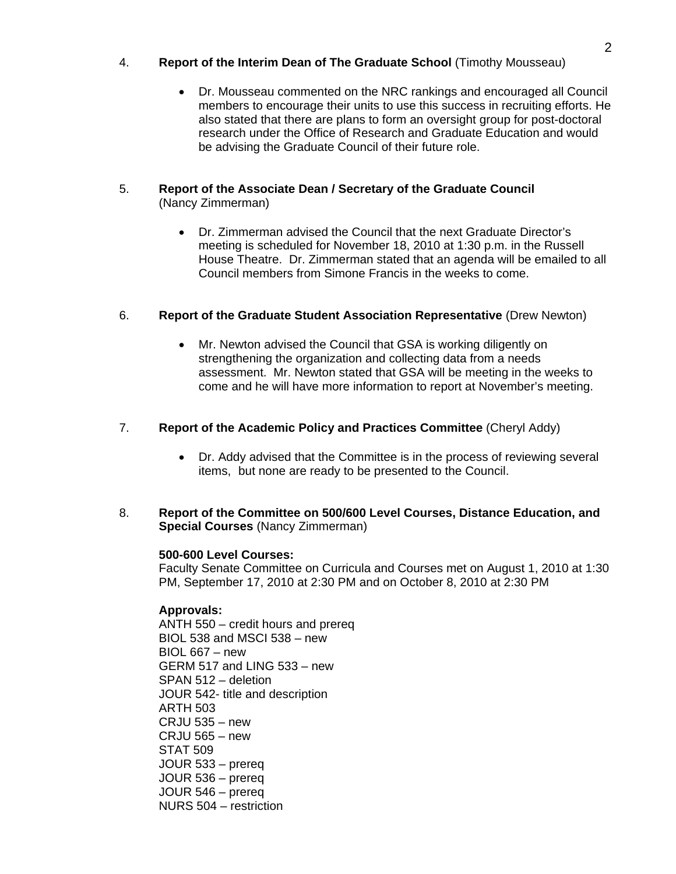# 4. **Report of the Interim Dean of The Graduate School** (Timothy Mousseau)

• Dr. Mousseau commented on the NRC rankings and encouraged all Council members to encourage their units to use this success in recruiting efforts. He also stated that there are plans to form an oversight group for post-doctoral research under the Office of Research and Graduate Education and would be advising the Graduate Council of their future role.

# 5. **Report of the Associate Dean / Secretary of the Graduate Council**  (Nancy Zimmerman)

• Dr. Zimmerman advised the Council that the next Graduate Director's meeting is scheduled for November 18, 2010 at 1:30 p.m. in the Russell House Theatre. Dr. Zimmerman stated that an agenda will be emailed to all Council members from Simone Francis in the weeks to come.

# 6. **Report of the Graduate Student Association Representative** (Drew Newton)

• Mr. Newton advised the Council that GSA is working diligently on strengthening the organization and collecting data from a needs assessment. Mr. Newton stated that GSA will be meeting in the weeks to come and he will have more information to report at November's meeting.

# 7. **Report of the Academic Policy and Practices Committee** (Cheryl Addy)

- Dr. Addy advised that the Committee is in the process of reviewing several items, but none are ready to be presented to the Council.
- 8. **Report of the Committee on 500/600 Level Courses, Distance Education, and Special Courses** (Nancy Zimmerman)

# **500-600 Level Courses:**

Faculty Senate Committee on Curricula and Courses met on August 1, 2010 at 1:30 PM, September 17, 2010 at 2:30 PM and on October 8, 2010 at 2:30 PM

# **Approvals:**

ANTH 550 – credit hours and prereq BIOL 538 and MSCI 538 – new BIOL 667 – new GERM 517 and LING 533 – new SPAN 512 – deletion JOUR 542- title and description ARTH 503 CRJU 535 – new CRJU 565 – new STAT 509 JOUR 533 – prereq JOUR 536 – prereq JOUR 546 – prereq NURS 504 – restriction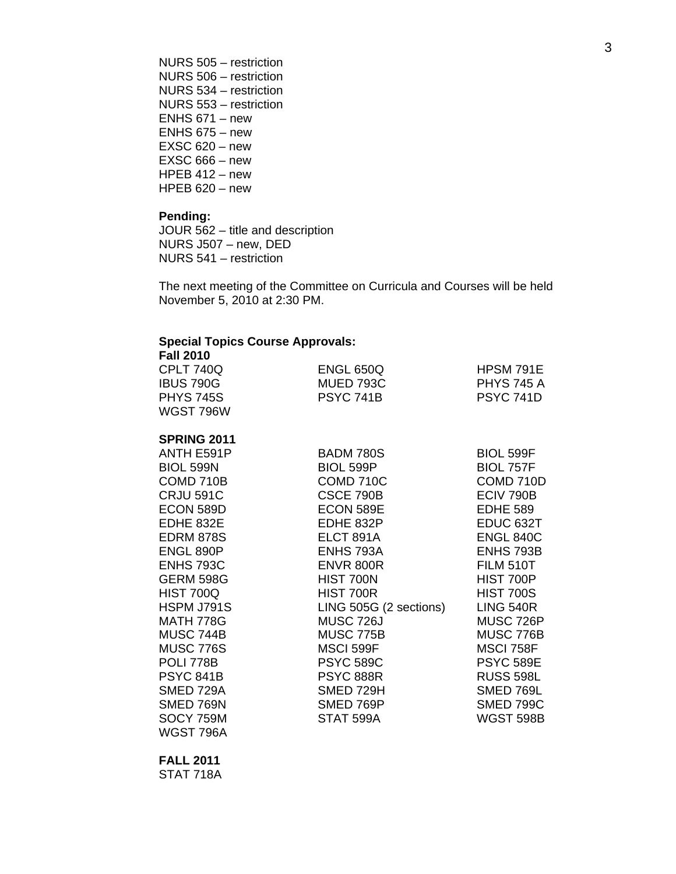NURS 505 – restriction NURS 506 – restriction NURS 534 – restriction NURS 553 – restriction ENHS 671 – new ENHS 675 – new EXSC 620 – new EXSC 666 – new HPEB 412 – new HPEB 620 – new

#### **Pending:**

JOUR 562 – title and description NURS J507 – new, DED NURS 541 – restriction

The next meeting of the Committee on Curricula and Courses will be held November 5, 2010 at 2:30 PM.

#### **Special Topics Course Approvals: Fall 2010**

| Fall 2010        |                  |                   |
|------------------|------------------|-------------------|
| CPLT 740Q        | <b>ENGL 650Q</b> | HPSM 791E         |
| <b>IBUS 790G</b> | MUED 793C        | <b>PHYS 745 A</b> |
| <b>PHYS 745S</b> | <b>PSYC 741B</b> | <b>PSYC 741D</b>  |
| WGST 796W        |                  |                   |
|                  |                  |                   |

# **SPRING 2011**

| ANTH E591P       | <b>BADM 780S</b>       | <b>BIOL 599F</b>     |
|------------------|------------------------|----------------------|
| <b>BIOL 599N</b> | <b>BIOL 599P</b>       | <b>BIOL 757F</b>     |
| COMD 710B        | COMD 710C              | COMD 710D            |
| <b>CRJU 591C</b> | CSCE 790B              | ECIV 790B            |
| ECON 589D        | ECON 589E              | <b>EDHE 589</b>      |
| EDHE 832E        | EDHE 832P              | EDUC <sub>632T</sub> |
| <b>EDRM 878S</b> | ELCT 891A              | <b>ENGL 840C</b>     |
| ENGL 890P        | <b>ENHS 793A</b>       | ENHS 793B            |
| <b>ENHS 793C</b> | <b>ENVR 800R</b>       | <b>FILM 510T</b>     |
| <b>GERM 598G</b> | HIST 700N              | <b>HIST 700P</b>     |
| HIST 700Q        | HIST 700R              | <b>HIST 700S</b>     |
| HSPM J791S       | LING 505G (2 sections) | <b>LING 540R</b>     |
| MATH 778G        | <b>MUSC 726J</b>       | MUSC 726P            |
| MUSC 744B        | MUSC 775B              | MUSC 776B            |
| MUSC 776S        | MSCI 599F              | MSCI 758F            |
| POLI 778B        | <b>PSYC 589C</b>       | <b>PSYC 589E</b>     |
| <b>PSYC 841B</b> | <b>PSYC 888R</b>       | <b>RUSS 598L</b>     |
| SMED 729A        | SMED 729H              | SMED 769L            |
| SMED 769N        | SMED 769P              | <b>SMED 799C</b>     |
| SOCY 759M        | STAT 599A              | <b>WGST 598B</b>     |
| WGST 796A        |                        |                      |
|                  |                        |                      |

**FALL 2011**  STAT 718A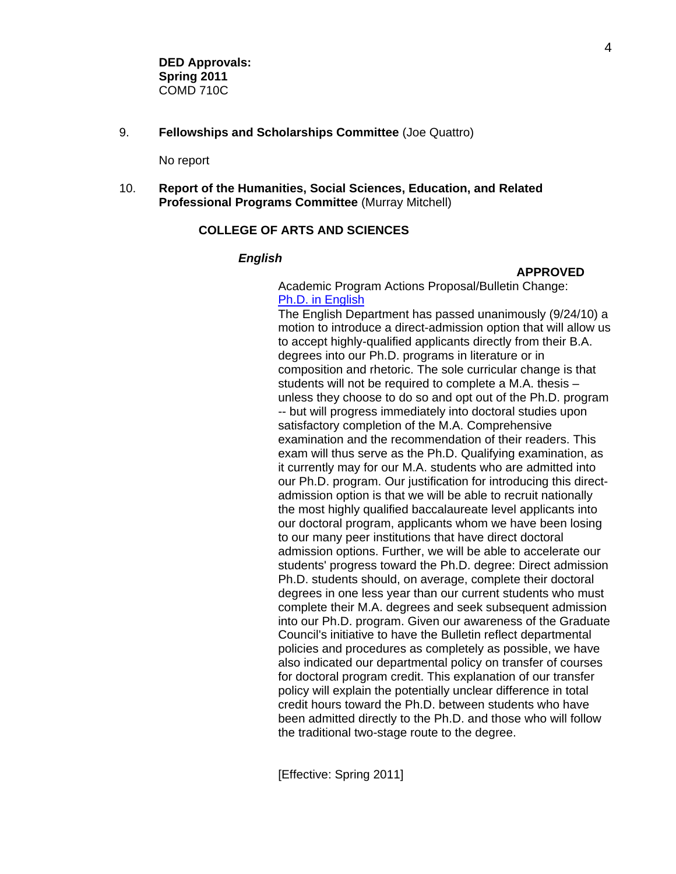9. **Fellowships and Scholarships Committee** (Joe Quattro)

No report

10. **Report of the Humanities, Social Sciences, Education, and Related Professional Programs Committee** (Murray Mitchell)

# **COLLEGE OF ARTS AND SCIENCES**

# *English*

#### **APPROVED**

 Academic Program Actions Proposal/Bulletin Change: [Ph.D. in English](http://gradschool.sc.edu/gradcouncil/curr_docs/APAPHDEnglish_201041.pdf)

 The English Department has passed unanimously (9/24/10) a motion to introduce a direct-admission option that will allow us to accept highly-qualified applicants directly from their B.A. degrees into our Ph.D. programs in literature or in composition and rhetoric. The sole curricular change is that students will not be required to complete a M.A. thesis – unless they choose to do so and opt out of the Ph.D. program -- but will progress immediately into doctoral studies upon satisfactory completion of the M.A. Comprehensive examination and the recommendation of their readers. This exam will thus serve as the Ph.D. Qualifying examination, as it currently may for our M.A. students who are admitted into our Ph.D. program. Our justification for introducing this direct admission option is that we will be able to recruit nationally the most highly qualified baccalaureate level applicants into our doctoral program, applicants whom we have been losing to our many peer institutions that have direct doctoral admission options. Further, we will be able to accelerate our students' progress toward the Ph.D. degree: Direct admission Ph.D. students should, on average, complete their doctoral degrees in one less year than our current students who must complete their M.A. degrees and seek subsequent admission into our Ph.D. program. Given our awareness of the Graduate Council's initiative to have the Bulletin reflect departmental policies and procedures as completely as possible, we have also indicated our departmental policy on transfer of courses for doctoral program credit. This explanation of our transfer policy will explain the potentially unclear difference in total credit hours toward the Ph.D. between students who have been admitted directly to the Ph.D. and those who will follow the traditional two-stage route to the degree.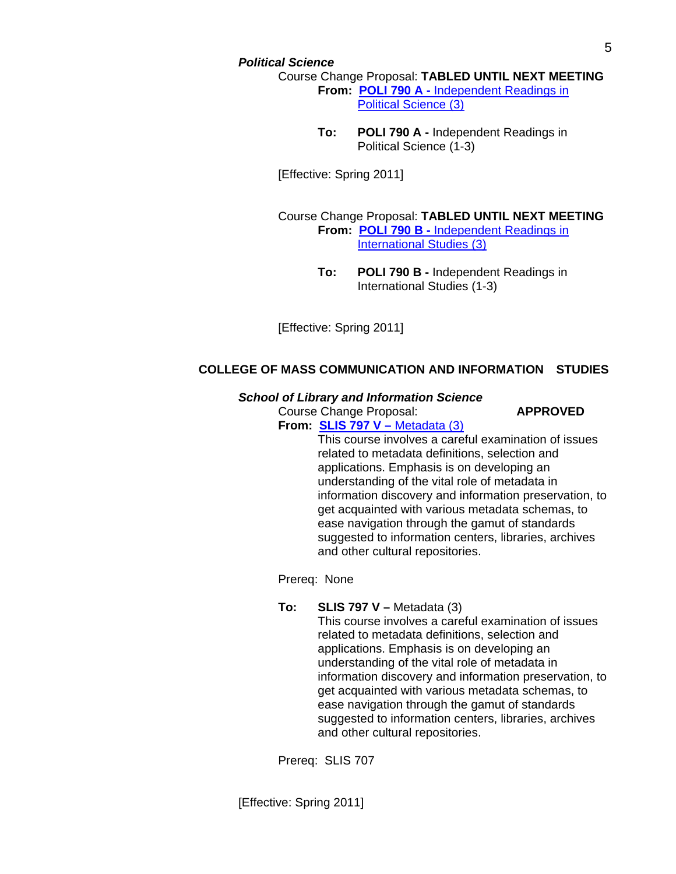# *Political Science*

Course Change Proposal: **TABLED UNTIL NEXT MEETING From: POLI 790 A -** [Independent Readings in](http://gradschool.sc.edu/gradcouncil/curr_docs/CCPPOLI790A_201041.pdf)   [Political Science \(3\)](http://gradschool.sc.edu/gradcouncil/curr_docs/CCPPOLI790A_201041.pdf)

> **To: POLI 790 A -** Independent Readings in Political Science (1-3)

[Effective: Spring 2011]

 Course Change Proposal: **TABLED UNTIL NEXT MEETING From: POLI 790 B -** [Independent Readings in](http://gradschool.sc.edu/gradcouncil/curr_docs/CCPPOLI790B_201041.pdf)   [International Studies \(3\)](http://gradschool.sc.edu/gradcouncil/curr_docs/CCPPOLI790B_201041.pdf)

> **To: POLI 790 B -** Independent Readings in International Studies (1-3)

[Effective: Spring 2011]

# **COLLEGE OF MASS COMMUNICATION AND INFORMATION STUDIES**

# *School of Library and Information Science*

Course Change Proposal: **APPROVED**

 **From: [SLIS 797 V –](http://gradschool.sc.edu/gradcouncil/curr_docs/CCPSLIS797V_201041.pdf)** Metadata (3)

 This course involves a careful examination of issues related to metadata definitions, selection and applications. Emphasis is on developing an understanding of the vital role of metadata in information discovery and information preservation, to get acquainted with various metadata schemas, to ease navigation through the gamut of standards suggested to information centers, libraries, archives and other cultural repositories.

Prereq: None

# **To: SLIS 797 V –** Metadata (3)

 This course involves a careful examination of issues related to metadata definitions, selection and applications. Emphasis is on developing an understanding of the vital role of metadata in information discovery and information preservation, to get acquainted with various metadata schemas, to ease navigation through the gamut of standards suggested to information centers, libraries, archives and other cultural repositories.

Prereq: SLIS 707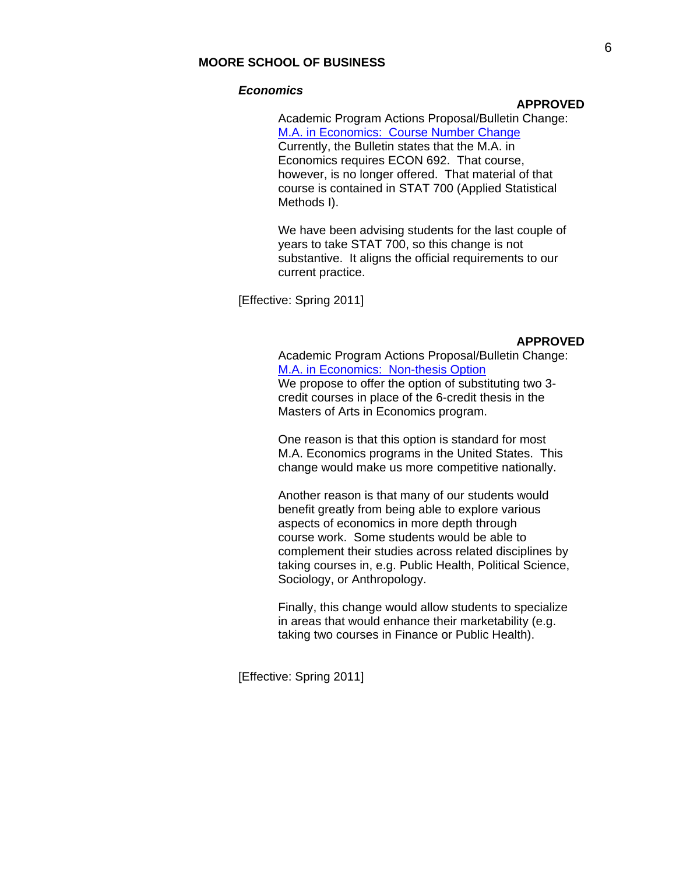# **MOORE SCHOOL OF BUSINESS**

#### *Economics*

# **APPROVED**

 Academic Program Actions Proposal/Bulletin Change: [M.A. in Economics: Course Number Change](http://gradschool.sc.edu/gradcouncil/curr_docs/APAMAEconomics_201041.pdf) Currently, the Bulletin states that the M.A. in Economics requires ECON 692. That course, however, is no longer offered. That material of that course is contained in STAT 700 (Applied Statistical Methods I).

 We have been advising students for the last couple of years to take STAT 700, so this change is not substantive. It aligns the official requirements to our current practice.

[Effective: Spring 2011]

# **APPROVED**

 Academic Program Actions Proposal/Bulletin Change: [M.A. in Economics: Non-thesis Option](http://gradschool.sc.edu/gradcouncil/curr_docs/APAMAEconomicsThesis_201041.pdf) We propose to offer the option of substituting two 3 credit courses in place of the 6-credit thesis in the Masters of Arts in Economics program.

 One reason is that this option is standard for most M.A. Economics programs in the United States. This change would make us more competitive nationally.

 Another reason is that many of our students would benefit greatly from being able to explore various aspects of economics in more depth through course work. Some students would be able to complement their studies across related disciplines by taking courses in, e.g. Public Health, Political Science, Sociology, or Anthropology.

 Finally, this change would allow students to specialize in areas that would enhance their marketability (e.g. taking two courses in Finance or Public Health).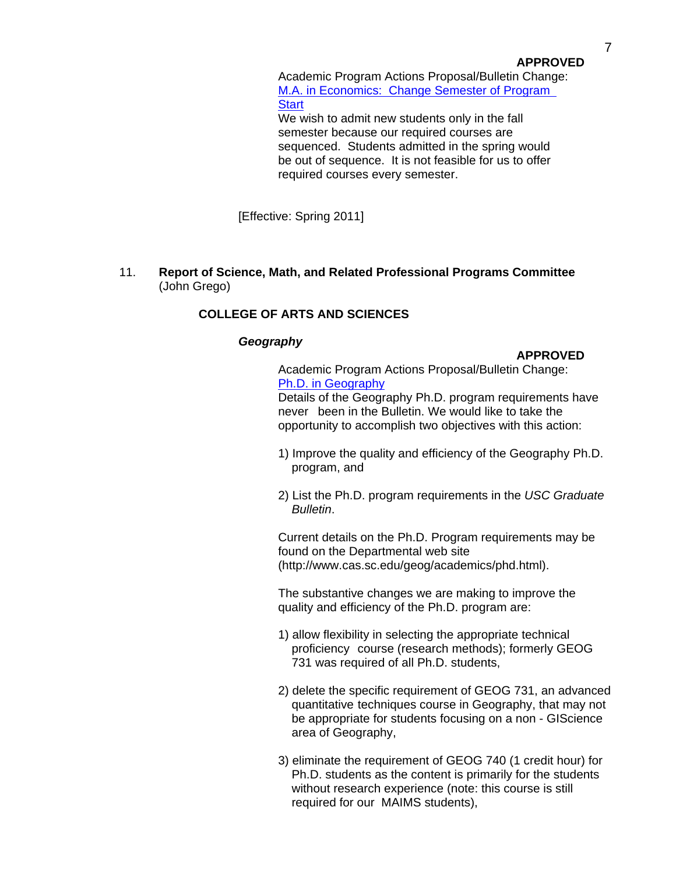# **APPROVED**

 Academic Program Actions Proposal/Bulletin Change: [M.A. in Economics: Change Semester of Program](http://gradschool.sc.edu/gradcouncil/curr_docs/APAMAEconomicsSemStart_201041.pdf)  **Start** 

 We wish to admit new students only in the fall semester because our required courses are sequenced. Students admitted in the spring would be out of sequence. It is not feasible for us to offer required courses every semester.

[Effective: Spring 2011]

11. **Report of Science, Math, and Related Professional Programs Committee** (John Grego)

# **COLLEGE OF ARTS AND SCIENCES**

# *Geography*

# **APPROVED**

Academic Program Actions Proposal/Bulletin Change: [Ph.D. in Geography](http://gradschool.sc.edu/gradcouncil/curr_docs/APAPHDGeography_201041.pdf) Details of the Geography Ph.D. program requirements have

 never been in the Bulletin. We would like to take the opportunity to accomplish two objectives with this action:

- 1) Improve the quality and efficiency of the Geography Ph.D. program, and
- 2) List the Ph.D. program requirements in the *USC Graduate Bulletin*.

 Current details on the Ph.D. Program requirements may be found on the Departmental web site (http://www.cas.sc.edu/geog/academics/phd.html).

 The substantive changes we are making to improve the quality and efficiency of the Ph.D. program are:

- 1) allow flexibility in selecting the appropriate technical proficiency course (research methods); formerly GEOG 731 was required of all Ph.D. students,
- 2) delete the specific requirement of GEOG 731, an advanced quantitative techniques course in Geography, that may not be appropriate for students focusing on a non - GIScience area of Geography,
- 3) eliminate the requirement of GEOG 740 (1 credit hour) for Ph.D. students as the content is primarily for the students without research experience (note: this course is still required for our MAIMS students),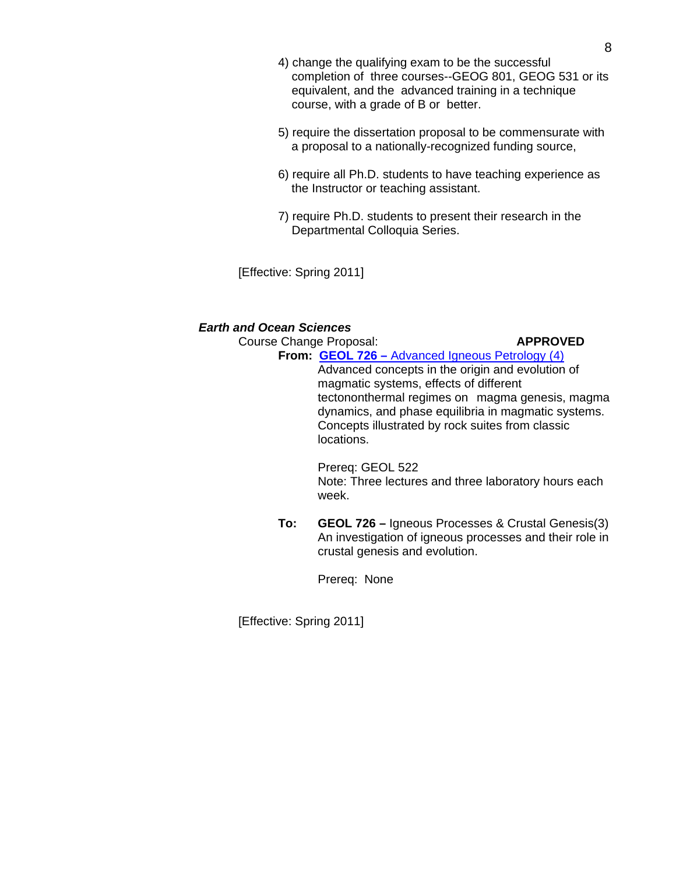- 4) change the qualifying exam to be the successful completion of three courses--GEOG 801, GEOG 531 or its equivalent, and the advanced training in a technique course, with a grade of B or better.
- 5) require the dissertation proposal to be commensurate with a proposal to a nationally-recognized funding source,
- 6) require all Ph.D. students to have teaching experience as the Instructor or teaching assistant.
- 7) require Ph.D. students to present their research in the Departmental Colloquia Series.

[Effective: Spring 2011]

# *Earth and Ocean Sciences*

# **Course Change Proposal: APPROVED From: GEOL 726 –** [Advanced Igneous Petrology \(4\)](http://gradschool.sc.edu/gradcouncil/curr_docs/CCPGEOL726_201041.pdf) Advanced concepts in the origin and evolution of magmatic systems, effects of different tectononthermal regimes on magma genesis, magma dynamics, and phase equilibria in magmatic systems. Concepts illustrated by rock suites from classic locations. Prereq: GEOL 522 Note: Three lectures and three laboratory hours each week. **To: GEOL 726 –** Igneous Processes & Crustal Genesis(3) An investigation of igneous processes and their role in

crustal genesis and evolution.

Prereq: None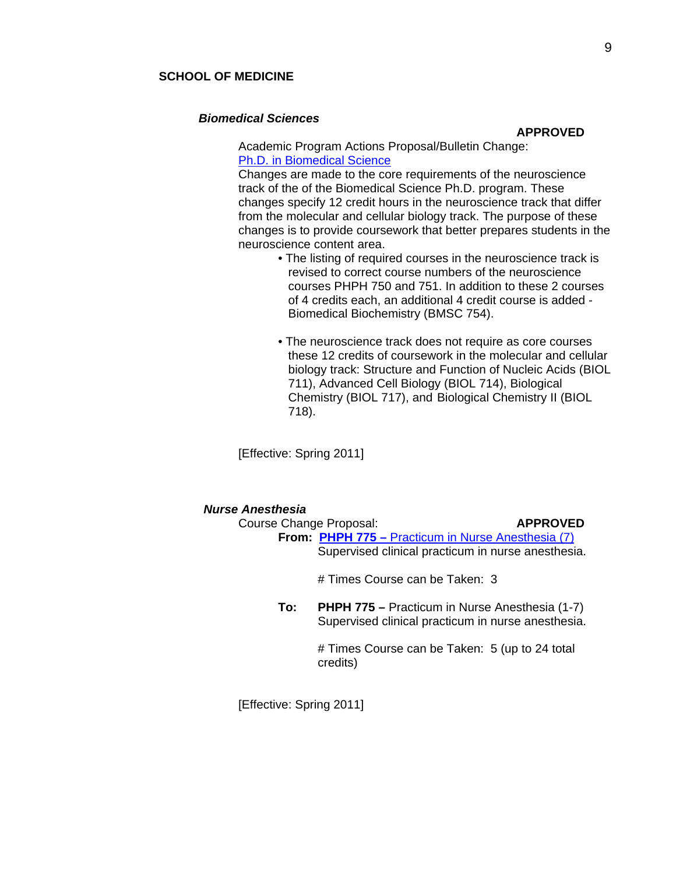## **SCHOOL OF MEDICINE**

## *Biomedical Sciences*

#### **APPROVED**

Academic Program Actions Proposal/Bulletin Change: [Ph.D. in Biomedical Science](http://gradschool.sc.edu/gradcouncil/curr_docs/APAPhDinBiomedicalScience_201041.pdf)

 Changes are made to the core requirements of the neuroscience track of the of the Biomedical Science Ph.D. program. These changes specify 12 credit hours in the neuroscience track that differ from the molecular and cellular biology track. The purpose of these changes is to provide coursework that better prepares students in the neuroscience content area.

- The listing of required courses in the neuroscience track is revised to correct course numbers of the neuroscience courses PHPH 750 and 751. In addition to these 2 courses of 4 credits each, an additional 4 credit course is added - Biomedical Biochemistry (BMSC 754).
- The neuroscience track does not require as core courses these 12 credits of coursework in the molecular and cellular biology track: Structure and Function of Nucleic Acids (BIOL 711), Advanced Cell Biology (BIOL 714), Biological Chemistry (BIOL 717), and Biological Chemistry II (BIOL 718).

[Effective: Spring 2011]

# *Nurse Anesthesia*  Course Change Proposal: **APPROVED From: PHPH 775 –** [Practicum in Nurse Anesthesia \(7\)](http://gradschool.sc.edu/gradcouncil/curr_docs/CCPPHPH775_201041.pdf) Supervised clinical practicum in nurse anesthesia. # Times Course can be Taken: 3 **To: PHPH 775 –** Practicum in Nurse Anesthesia (1-7) Supervised clinical practicum in nurse anesthesia. # Times Course can be Taken: 5 (up to 24 total credits)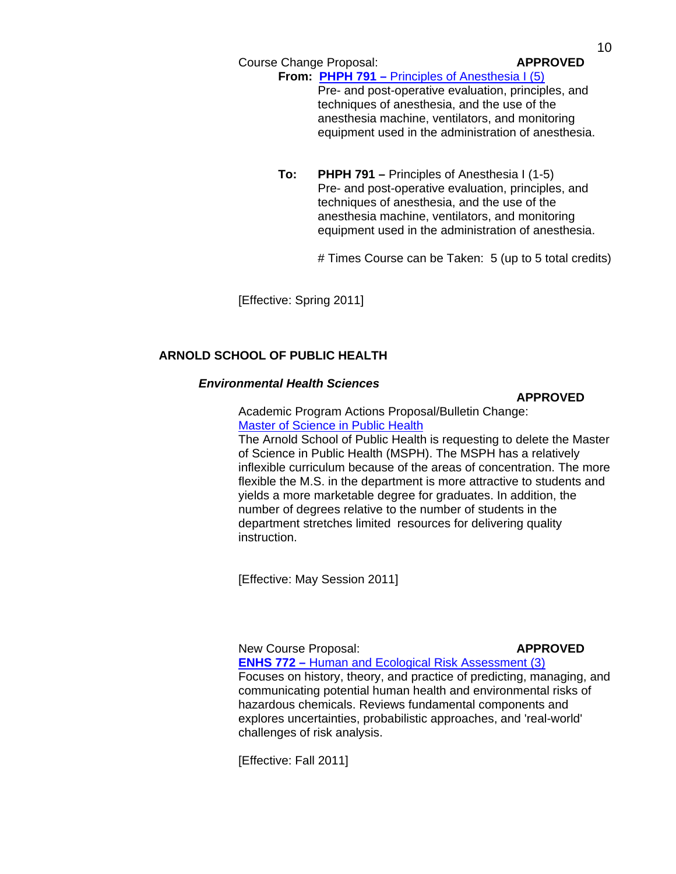Course Change Proposal: **APPROVED**

**From: PHPH 791 –** [Principles of Anesthesia I \(5\)](http://gradschool.sc.edu/gradcouncil/curr_docs/CCPPHPH791_201041.pdf) Pre- and post-operative evaluation, principles, and techniques of anesthesia, and the use of the anesthesia machine, ventilators, and monitoring equipment used in the administration of anesthesia.

**To: PHPH 791 –** Principles of Anesthesia I (1-5) Pre- and post-operative evaluation, principles, and techniques of anesthesia, and the use of the anesthesia machine, ventilators, and monitoring equipment used in the administration of anesthesia.

# Times Course can be Taken: 5 (up to 5 total credits)

[Effective: Spring 2011]

# **ARNOLD SCHOOL OF PUBLIC HEALTH**

# *Environmental Health Sciences*

**APPROVED** Academic Program Actions Proposal/Bulletin Change: [Master of Science in Public Health](http://gradschool.sc.edu/gradcouncil/curr_docs/APAMSPHtermination_201041.pdf)

 The Arnold School of Public Health is requesting to delete the Master of Science in Public Health (MSPH). The MSPH has a relatively inflexible curriculum because of the areas of concentration. The more flexible the M.S. in the department is more attractive to students and yields a more marketable degree for graduates. In addition, the number of degrees relative to the number of students in the department stretches limited resources for delivering quality instruction.

[Effective: May Session 2011]

New Course Proposal: **APPROVED ENHS 772 –** [Human and Ecological Risk Assessment \(3\)](http://gradschool.sc.edu/gradcouncil/curr_docs/NCPENHS772_201041.pdf) Focuses on history, theory, and practice of predicting, managing, and communicating potential human health and environmental risks of hazardous chemicals. Reviews fundamental components and explores uncertainties, probabilistic approaches, and 'real-world' challenges of risk analysis.

[Effective: Fall 2011]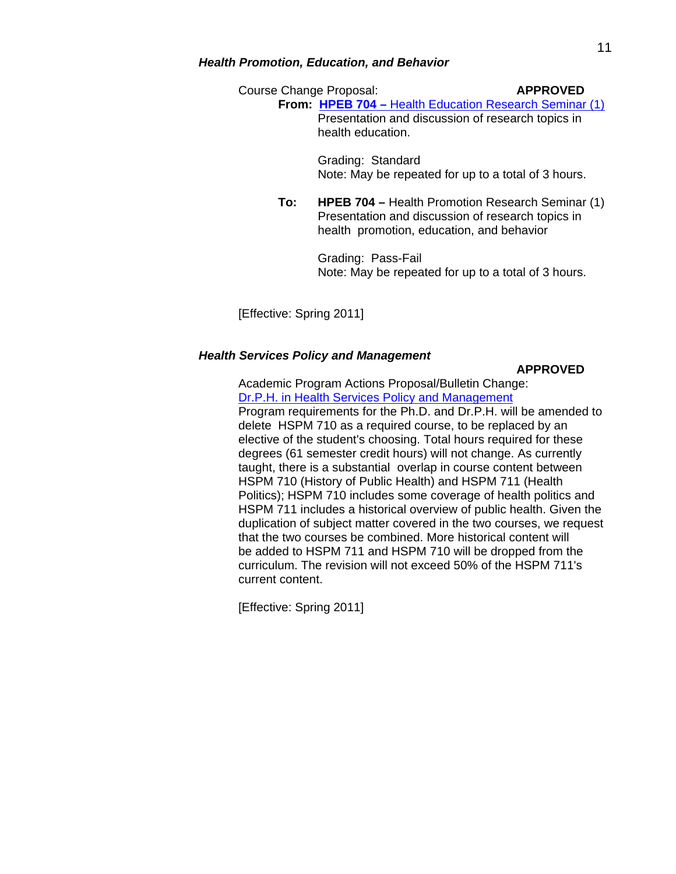# *Health Promotion, Education, and Behavior*

Course Change Proposal: **APPROVED From: HPEB 704 –** [Health Education Research Seminar \(1\)](http://gradschool.sc.edu/gradcouncil/curr_docs/CCPHPEB704_201041.pdf) Presentation and discussion of research topics in health education.

> Grading: Standard Note: May be repeated for up to a total of 3 hours.

**To: HPEB 704 –** Health Promotion Research Seminar (1) Presentation and discussion of research topics in health promotion, education, and behavior

> Grading: Pass-Fail Note: May be repeated for up to a total of 3 hours.

[Effective: Spring 2011]

#### *Health Services Policy and Management*

#### **APPROVED**

Academic Program Actions Proposal/Bulletin Change: [Dr.P.H. in Health Services Policy and Management](http://gradschool.sc.edu/gradcouncil/curr_docs/APADrPHHSPM_201041.pdf) Program requirements for the Ph.D. and Dr.P.H. will be amended to delete HSPM 710 as a required course, to be replaced by an elective of the student's choosing. Total hours required for these degrees (61 semester credit hours) will not change. As currently taught, there is a substantial overlap in course content between HSPM 710 (History of Public Health) and HSPM 711 (Health Politics); HSPM 710 includes some coverage of health politics and HSPM 711 includes a historical overview of public health. Given the duplication of subject matter covered in the two courses, we request that the two courses be combined. More historical content will be added to HSPM 711 and HSPM 710 will be dropped from the curriculum. The revision will not exceed 50% of the HSPM 711's current content.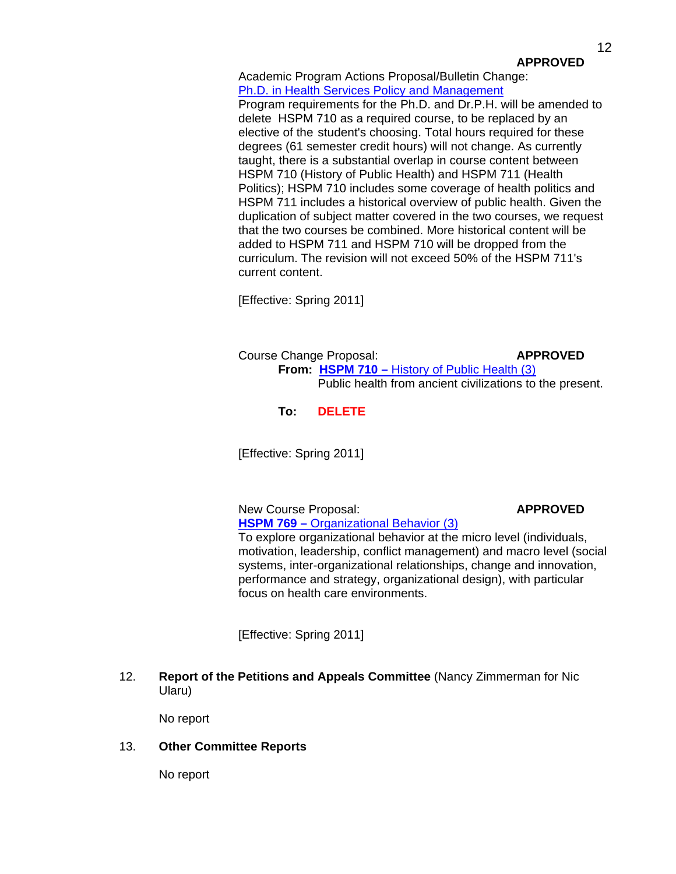# **APPROVED**

 Academic Program Actions Proposal/Bulletin Change: [Ph.D. in Health Services Policy and Management](http://gradschool.sc.edu/gradcouncil/curr_docs/APAPHDHSPM_201041.pdf)

 Program requirements for the Ph.D. and Dr.P.H. will be amended to delete HSPM 710 as a required course, to be replaced by an elective of the student's choosing. Total hours required for these degrees (61 semester credit hours) will not change. As currently taught, there is a substantial overlap in course content between HSPM 710 (History of Public Health) and HSPM 711 (Health Politics); HSPM 710 includes some coverage of health politics and HSPM 711 includes a historical overview of public health. Given the duplication of subject matter covered in the two courses, we request that the two courses be combined. More historical content will be added to HSPM 711 and HSPM 710 will be dropped from the curriculum. The revision will not exceed 50% of the HSPM 711's current content.

[Effective: Spring 2011]

Course Change Proposal: **APPROVED From: HSPM 710 – [History of Public Health \(3\)](http://gradschool.sc.edu/gradcouncil/curr_docs/CCPHSPM710_201041.pdf)** Public health from ancient civilizations to the present.

**To: DELETE** 

[Effective: Spring 2011]

New Course Proposal: **APPROVED HSPM 769 –** [Organizational Behavior \(3\)](http://gradschool.sc.edu/gradcouncil/curr_docs/NCPHSPM769_201041.pdf)

To explore organizational behavior at the micro level (individuals, motivation, leadership, conflict management) and macro level (social systems, inter-organizational relationships, change and innovation, performance and strategy, organizational design), with particular focus on health care environments.

[Effective: Spring 2011]

12. **Report of the Petitions and Appeals Committee** (Nancy Zimmerman for Nic Ularu)

No report

13. **Other Committee Reports**

No report